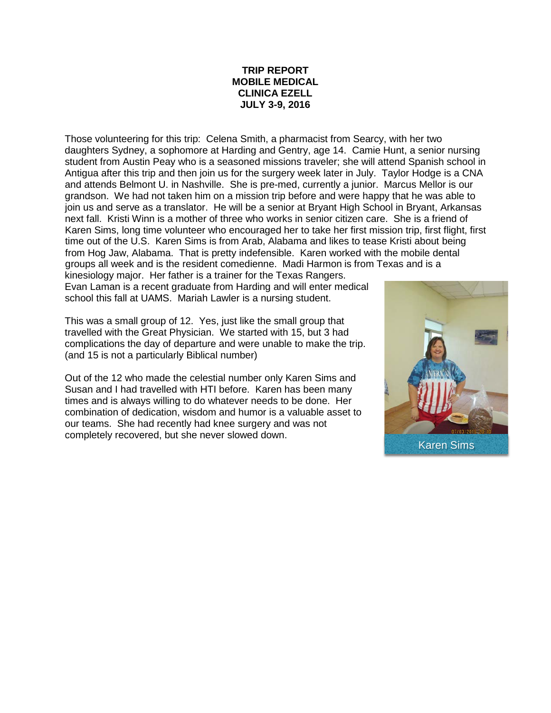## **TRIP REPORT MOBILE MEDICAL CLINICA EZELL JULY 3-9, 2016**

Those volunteering for this trip: Celena Smith, a pharmacist from Searcy, with her two daughters Sydney, a sophomore at Harding and Gentry, age 14. Camie Hunt, a senior nursing student from Austin Peay who is a seasoned missions traveler; she will attend Spanish school in Antigua after this trip and then join us for the surgery week later in July. Taylor Hodge is a CNA and attends Belmont U. in Nashville. She is pre-med, currently a junior. Marcus Mellor is our grandson. We had not taken him on a mission trip before and were happy that he was able to join us and serve as a translator. He will be a senior at Bryant High School in Bryant, Arkansas next fall. Kristi Winn is a mother of three who works in senior citizen care. She is a friend of Karen Sims, long time volunteer who encouraged her to take her first mission trip, first flight, first time out of the U.S. Karen Sims is from Arab, Alabama and likes to tease Kristi about being from Hog Jaw, Alabama. That is pretty indefensible. Karen worked with the mobile dental groups all week and is the resident comedienne. Madi Harmon is from Texas and is a kinesiology major. Her father is a trainer for the Texas Rangers.

Evan Laman is a recent graduate from Harding and will enter medical school this fall at UAMS. Mariah Lawler is a nursing student.

This was a small group of 12. Yes, just like the small group that travelled with the Great Physician. We started with 15, but 3 had complications the day of departure and were unable to make the trip. (and 15 is not a particularly Biblical number)

Out of the 12 who made the celestial number only Karen Sims and Susan and I had travelled with HTI before. Karen has been many times and is always willing to do whatever needs to be done. Her combination of dedication, wisdom and humor is a valuable asset to our teams. She had recently had knee surgery and was not completely recovered, but she never slowed down.

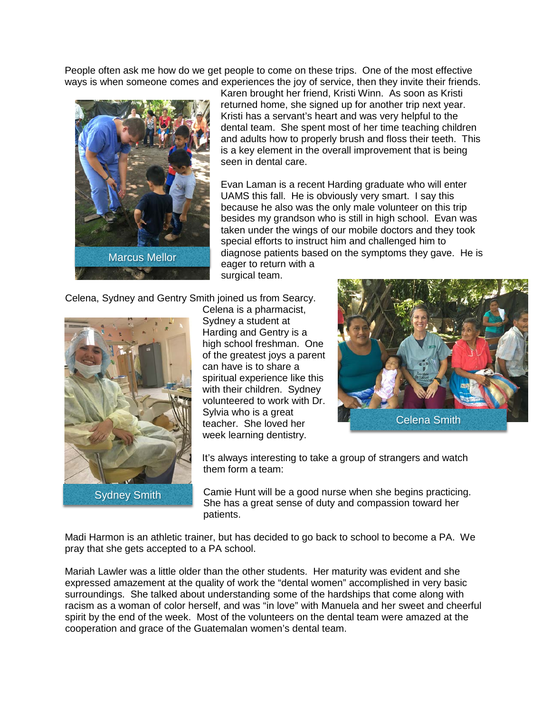People often ask me how do we get people to come on these trips. One of the most effective ways is when someone comes and experiences the joy of service, then they invite their friends.



Karen brought her friend, Kristi Winn. As soon as Kristi returned home, she signed up for another trip next year. Kristi has a servant's heart and was very helpful to the dental team. She spent most of her time teaching children and adults how to properly brush and floss their teeth. This is a key element in the overall improvement that is being seen in dental care.

Evan Laman is a recent Harding graduate who will enter UAMS this fall. He is obviously very smart. I say this because he also was the only male volunteer on this trip besides my grandson who is still in high school. Evan was taken under the wings of our mobile doctors and they took special efforts to instruct him and challenged him to diagnose patients based on the symptoms they gave. He is eager to return with a

surgical team.

Celena, Sydney and Gentry Smith joined us from Searcy.



Celena is a pharmacist, Sydney a student at Harding and Gentry is a high school freshman. One of the greatest joys a parent can have is to share a spiritual experience like this with their children. Sydney volunteered to work with Dr. Sylvia who is a great teacher. She loved her week learning dentistry.



It's always interesting to take a group of strangers and watch them form a team:

Camie Hunt will be a good nurse when she begins practicing. She has a great sense of duty and compassion toward her patients.

Madi Harmon is an athletic trainer, but has decided to go back to school to become a PA. We pray that she gets accepted to a PA school.

Mariah Lawler was a little older than the other students. Her maturity was evident and she expressed amazement at the quality of work the "dental women" accomplished in very basic surroundings. She talked about understanding some of the hardships that come along with racism as a woman of color herself, and was "in love" with Manuela and her sweet and cheerful spirit by the end of the week. Most of the volunteers on the dental team were amazed at the cooperation and grace of the Guatemalan women's dental team.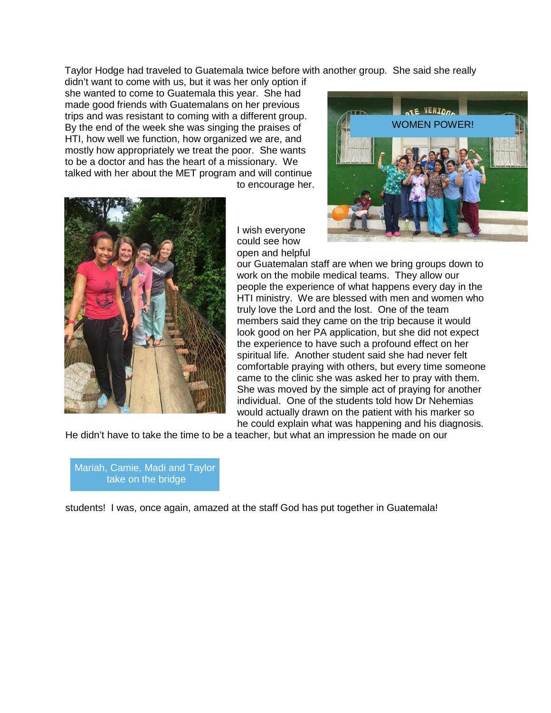Taylor Hodge had traveled to Guatemala twice before with another group. She said she really

didn't want to come with us, but it was her only option if she wanted to come to Guatemala this year. She had made good friends with Guatemalans on her previous trips and was resistant to coming with a different group. By the end of the week she was singing the praises of HTI, how well we function, how organized we are, and mostly how appropriately we treat the poor. She wants to be a doctor and has the heart of a missionary. We talked with her about the MET program and will continue

to encourage her.





I wish everyone could see how open and helpful

our Guatemalan staff are when we bring groups down to work on the mobile medical teams. They allow our people the experience of what happens every day in the HTI ministry. We are blessed with men and women who truly love the Lord and the lost. One of the team members said they came on the trip because it would look good on her PA application, but she did not expect the experience to have such a profound effect on her spiritual life. Another student said she had never felt comfortable praying with others, but every time someone came to the clinic she was asked her to pray with them. She was moved by the simple act of praying for another individual. One of the students told how Dr Nehemias would actually drawn on the patient with his marker so he could explain what was happening and his diagnosis.

He didn't have to take the time to be a teacher, but what an impression he made on our

Mariah, Camie, Madi and Taylor take on the bridge

students! I was, once again, amazed at the staff God has put together in Guatemala!